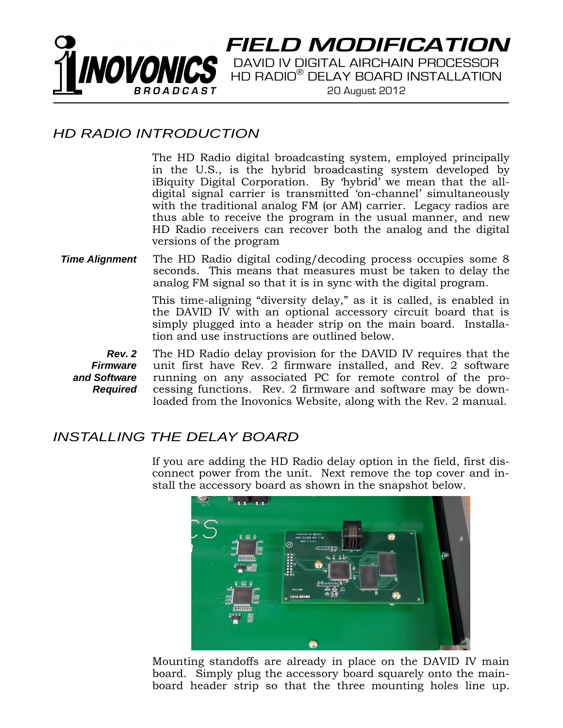

**FIELD MODIFICATION**

DAVID IV DIGITAL AIRCHAIN PROCESSOR HD RADIO® DELAY BOARD INSTALLATION 20 August 2012

## *HD RADIO INTRODUCTION*

The HD Radio digital broadcasting system, employed principally in the U.S., is the hybrid broadcasting system developed by iBiquity Digital Corporation. By 'hybrid' we mean that the alldigital signal carrier is transmitted 'on-channel' simultaneously with the traditional analog FM (or AM) carrier. Legacy radios are thus able to receive the program in the usual manner, and new HD Radio receivers can recover both the analog and the digital versions of the program

## *Time Alignment* The HD Radio digital coding/decoding process occupies some 8 seconds. This means that measures must be taken to delay the analog FM signal so that it is in sync with the digital program.

This time-aligning "diversity delay," as it is called, is enabled in the DAVID IV with an optional accessory circuit board that is simply plugged into a header strip on the main board. Installation and use instructions are outlined below.

*Rev. 2 Firmware and Software Required* 

The HD Radio delay provision for the DAVID IV requires that the unit first have Rev. 2 firmware installed, and Rev. 2 software running on any associated PC for remote control of the processing functions. Rev. 2 firmware and software may be downloaded from the Inovonics Website, along with the Rev. 2 manual.

## *INSTALLING THE DELAY BOARD*

If you are adding the HD Radio delay option in the field, first disconnect power from the unit. Next remove the top cover and install the accessory board as shown in the snapshot below.



Mounting standoffs are already in place on the DAVID IV main board. Simply plug the accessory board squarely onto the mainboard header strip so that the three mounting holes line up.